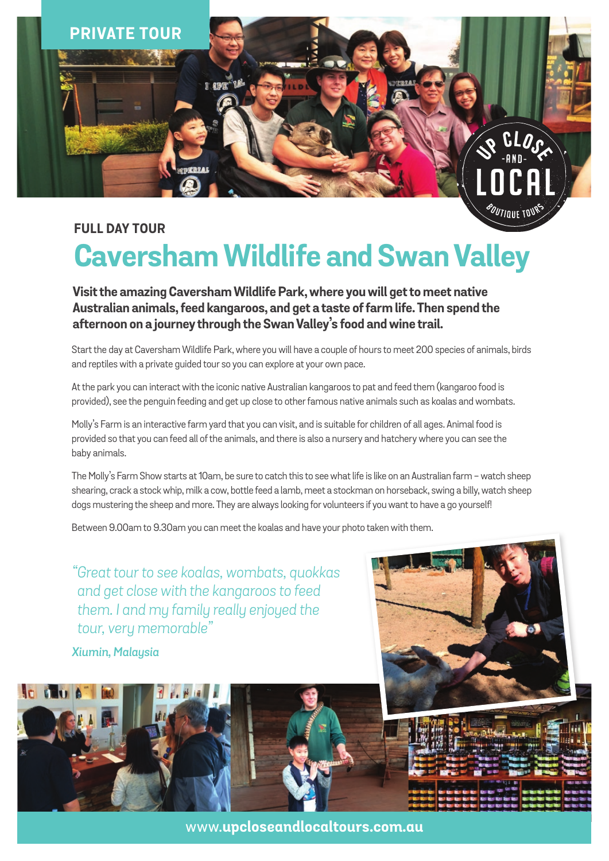

## **FULL DAY TOUR Caversham Wildlife and Swan Valley**

**Visit the amazing Caversham Wildlife Park, where you will get to meet native Australian animals, feed kangaroos, and get a taste of farm life. Then spend the afternoon on a journey through the Swan Valley's food and wine trail.**

Start the day at Caversham Wildlife Park, where you will have a couple of hours to meet 200 species of animals, birds and reptiles with a private guided tour so you can explore at your own pace.

At the park you can interact with the iconic native Australian kangaroos to pat and feed them (kangaroo food is provided), see the penguin feeding and get up close to other famous native animals such as koalas and wombats.

Molly's Farm is an interactive farm yard that you can visit, and is suitable for children of all ages. Animal food is provided so that you can feed all of the animals, and there is also a nursery and hatchery where you can see the baby animals.

The Molly's Farm Show starts at 10am, be sure to catch this to see what life is like on an Australian farm - watch sheep shearing, crack a stock whip, milk a cow, bottle feed a lamb, meet a stockman on horseback, swing a billy, watch sheep dogs mustering the sheep and more. They are always looking for volunteers if you want to have a go yourself!

Between 9.00am to 9.30am you can meet the koalas and have your photo taken with them.

*"Great tour to see koalas, wombats, quokkas and get close with the kangaroos to feed them. I and my family really enjoyed the tour, very memorable"*

*Xiumin, Malaysia*



www.**upcloseandlocaltours.com.au**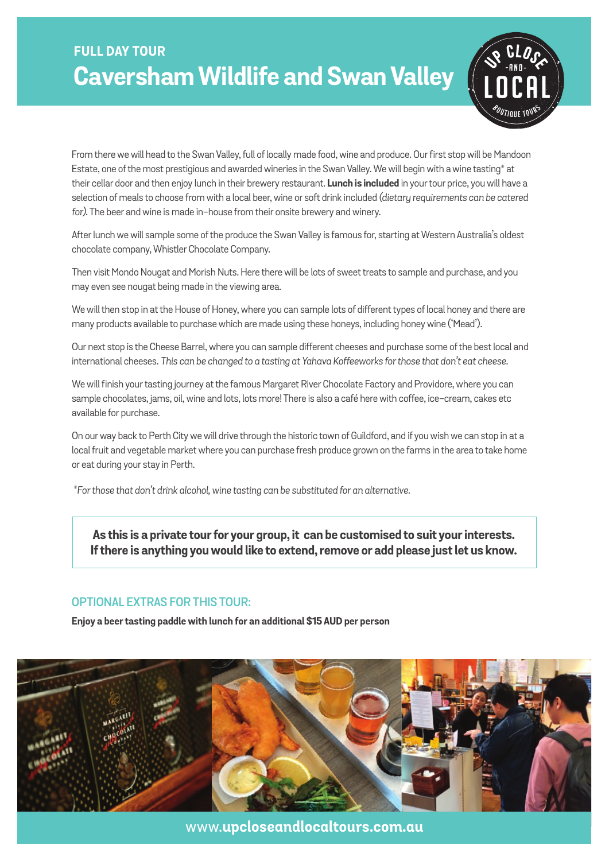

From there we will head to the Swan Valley, full of locally made food, wine and produce. Our first stop will be Mandoon Estate, one of the most prestigious and awarded wineries in the Swan Valley. We will begin with a wine tasting\* at their cellar door and then enjoy lunch in their brewery restaurant. **Lunch is included** in your tour price, you will have a selection of meals to choose from with a local beer, wine or soft drink included *(dietary requirements can be catered for)*. The beer and wine is made in-house from their onsite brewery and winery.

After lunch we will sample some of the produce the Swan Valley is famous for, starting at Western Australia's oldest chocolate company, Whistler Chocolate Company.

Then visit Mondo Nougat and Morish Nuts. Here there will be lots of sweet treats to sample and purchase, and you may even see nougat being made in the viewing area.

We will then stop in at the House of Honey, where you can sample lots of different types of local honey and there are many products available to purchase which are made using these honeys, including honey wine ('Mead').

Our next stop is the Cheese Barrel, where you can sample different cheeses and purchase some of the best local and international cheeses. *This can be changed to a tasting at Yahava Koffeeworks for those that don't eat cheese.*

We will finish your tasting journey at the famous Margaret River Chocolate Factory and Providore, where you can sample chocolates, jams, oil, wine and lots, lots more! There is also a café here with coffee, ice-cream, cakes etc available for purchase.

On our way back to Perth City we will drive through the historic town of Guildford, and if you wish we can stop in at a local fruit and vegetable market where you can purchase fresh produce grown on the farms in the area to take home or eat during your stay in Perth.

*\*For those that don't drink alcohol, wine tasting can be substituted for an alternative.*

**As this is a private tour for your group, it can be customised to suit your interests. If there is anything you would like to extend, remove or add please just let us know.**

## **optional extras for this tour:**

**Enjoy a beer tasting paddle with lunch for an additional \$15 AUD per person**



www.**upcloseandlocaltours.com.au**